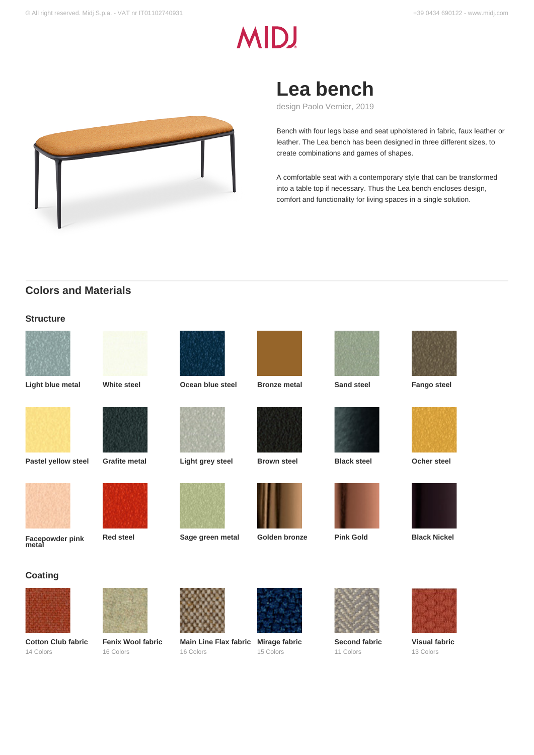# **MIDJ**



## **Lea bench**

design Paolo Vernier, 2019

Bench with four legs base and seat upholstered in fabric, faux leather or leather. The Lea bench has been designed in three different sizes, to create combinations and games of shapes.

A comfortable seat with a contemporary style that can be transformed into a table top if necessary. Thus the Lea bench encloses design, comfort and functionality for living spaces in a single solution.

## **Colors and Materials**

### **Structure**





**Light blue metal White steel Ocean blue steel Bronze metal Sand steel Fango steel**



**Pastel yellow steel Grafite metal Light grey steel Brown steel Black steel Ocher steel**



**Facepowder pink metal**





**Red steel Sage green metal Golden bronze Pink Gold Black Nickel**













**Second fabric** 11 Colors









**Visual fabric** 13 Colors





**Cotton Club fabric** 14 Colors



**Fenix Wool fabric** 16 Colors



**Main Line Flax fabric Mirage fabric** 16 Colors



15 Colors

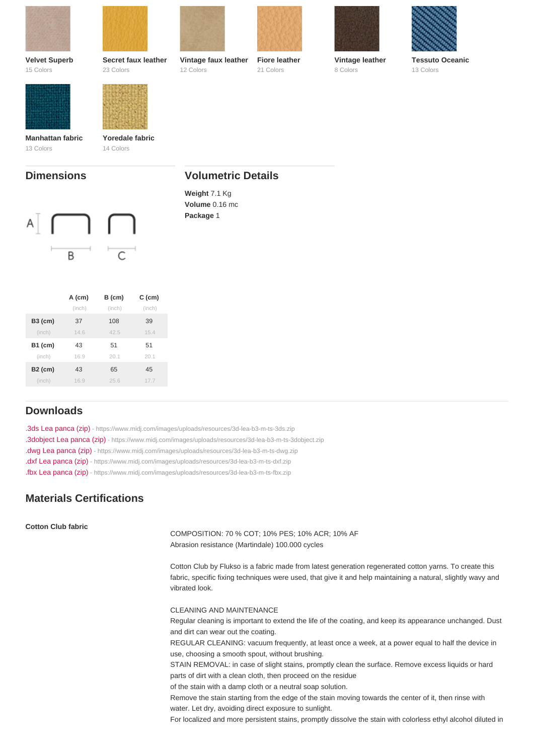| Secret faux leather | Vintage faux leather | Fiore leather | Vintage leather           | Tessuto Oceanic |
|---------------------|----------------------|---------------|---------------------------|-----------------|
| 23 Colors           | 12 Colors            | 21 Colors     | 8 Colors                  | 13 Colors       |
|                     |                      |               |                           |                 |
|                     |                      |               |                           |                 |
|                     |                      |               |                           |                 |
|                     |                      |               |                           |                 |
|                     |                      |               |                           |                 |
| Yoredale fabric     |                      |               |                           |                 |
| 14 Colors           |                      |               |                           |                 |
|                     |                      |               |                           |                 |
|                     |                      |               |                           |                 |
|                     |                      |               |                           |                 |
|                     |                      |               |                           |                 |
|                     |                      |               |                           |                 |
|                     |                      | Weight 7.1 Kg | <b>Volumetric Details</b> | Volume 0.16 mc  |

Volume 0.16 mc Package 1

|           | $A$ (cm) | $B$ (cm) | $C$ (cm) |
|-----------|----------|----------|----------|
|           | (inch)   | (inch)   | (inch)   |
| $B3$ (cm) | 37       | 108      | 39       |
| (inch)    | 14.6     | 42.5     | 15.4     |
| B1 (cm)   | 43       | 51       | 51       |
| (inch)    | 16.9     | 20.1     | 20.1     |
| $B2$ (cm) | 43       | 65       | 45       |
| (inch)    | 16.9     | 25.6     | 17.7     |
|           |          |          |          |

## Downloads

[.3ds Lea panca \(zip\)](https://www.midj.com/images/uploads/resources/3d-lea-b3-m-ts-3ds.zip) [- https://www.midj.com/images/uploads/resources/3d-lea-b3-m-ts-3ds.zip](https://www.midj.com/images/uploads/resources/3d-lea-b3-m-ts-3ds.zip) [.3dobject Lea panca \(zip\)](https://www.midj.com/images/uploads/resources/3d-lea-b3-m-ts-3dobject.zip) [- https://www.midj.com/images/uploads/resources/3d-lea-b3-m-ts-3dobject.zip](https://www.midj.com/images/uploads/resources/3d-lea-b3-m-ts-3dobject.zip) [.dwg Lea panca \(zip\)](https://www.midj.com/images/uploads/resources/3d-lea-b3-m-ts-dwg.zip) [- https://www.midj.com/images/uploads/resources/3d-lea-b3-m-ts-dwg.zip](https://www.midj.com/images/uploads/resources/3d-lea-b3-m-ts-dwg.zip) [.dxf Lea panca \(zip\)](https://www.midj.com/images/uploads/resources/3d-lea-b3-m-ts-dxf.zip) [- https://www.midj.com/images/uploads/resources/3d-lea-b3-m-ts-dxf.zip](https://www.midj.com/images/uploads/resources/3d-lea-b3-m-ts-dxf.zip) [.fbx Lea panca \(zip\)](https://www.midj.com/images/uploads/resources/3d-lea-b3-m-ts-fbx.zip) [- https://www.midj.com/images/uploads/resources/3d-lea-b3-m-ts-fbx.zip](https://www.midj.com/images/uploads/resources/3d-lea-b3-m-ts-fbx.zip)

## Materials Certifications

Cotton Club fabric

COMPOSITION: 70 % COT; 10% PES; 10% ACR; 10% AF Abrasion resistance (Martindale) 100.000 cycles

Cotton Club by Flukso is a fabric made from latest generation regenerated cotton yarns. To create this fabric, specific fixing techniques were used, that give it and help maintaining a natural, slightly wavy and vibrated look.

#### CLEANING AND MAINTENANCE

Regular cleaning is important to extend the life of the coating, and keep its appearance unchanged. Dust and dirt can wear out the coating.

REGULAR CLEANING: vacuum frequently, at least once a week, at a power equal to half the device in use, choosing a smooth spout, without brushing.

STAIN REMOVAL: in case of slight stains, promptly clean the surface. Remove excess liquids or hard parts of dirt with a clean cloth, then proceed on the residue

of the stain with a damp cloth or a neutral soap solution.

Remove the stain starting from the edge of the stain moving towards the center of it, then rinse with water. Let dry, avoiding direct exposure to sunlight.

For localized and more persistent stains, promptly dissolve the stain with colorless ethyl alcohol diluted in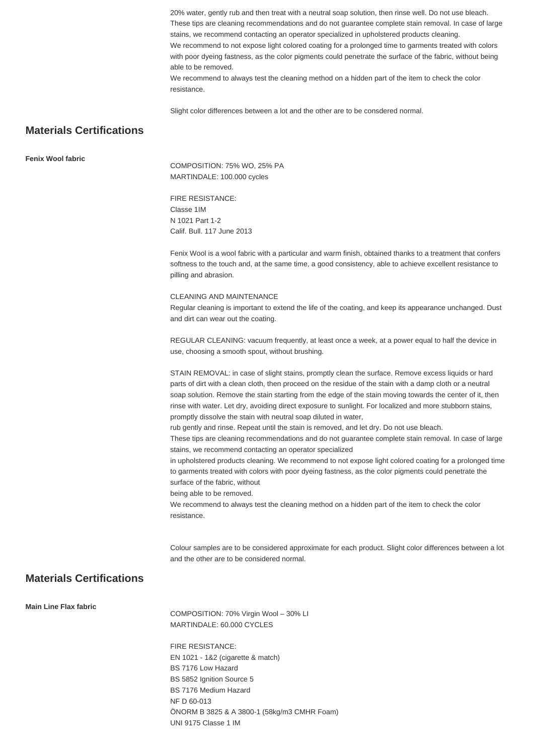20% water, gently rub and then treat with a neutral soap solution, then rinse well. Do not use bleach. These tips are cleaning recommendations and do not guarantee complete stain removal. In case of large stains, we recommend contacting an operator specialized in upholstered products cleaning. We recommend to not expose light colored coating for a prolonged time to garments treated with colors with poor dyeing fastness, as the color pigments could penetrate the surface of the fabric, without being able to be removed. We recommend to always test the cleaning method on a hidden part of the item to check the color resistance.

Slight color differences between a lot and the other are to be consdered normal.

## **Materials Certifications**

**Fenix Wool fabric**

COMPOSITION: 75% WO, 25% PA MARTINDALE: 100.000 cycles

FIRE RESISTANCE: Classe 1IM N 1021 Part 1-2 Calif. Bull. 117 June 2013

Fenix Wool is a wool fabric with a particular and warm finish, obtained thanks to a treatment that confers softness to the touch and, at the same time, a good consistency, able to achieve excellent resistance to pilling and abrasion.

#### CLEANING AND MAINTENANCE

Regular cleaning is important to extend the life of the coating, and keep its appearance unchanged. Dust and dirt can wear out the coating.

REGULAR CLEANING: vacuum frequently, at least once a week, at a power equal to half the device in use, choosing a smooth spout, without brushing.

STAIN REMOVAL: in case of slight stains, promptly clean the surface. Remove excess liquids or hard parts of dirt with a clean cloth, then proceed on the residue of the stain with a damp cloth or a neutral soap solution. Remove the stain starting from the edge of the stain moving towards the center of it, then rinse with water. Let dry, avoiding direct exposure to sunlight. For localized and more stubborn stains, promptly dissolve the stain with neutral soap diluted in water,

rub gently and rinse. Repeat until the stain is removed, and let dry. Do not use bleach.

These tips are cleaning recommendations and do not guarantee complete stain removal. In case of large stains, we recommend contacting an operator specialized

in upholstered products cleaning. We recommend to not expose light colored coating for a prolonged time to garments treated with colors with poor dyeing fastness, as the color pigments could penetrate the surface of the fabric, without

being able to be removed.

We recommend to always test the cleaning method on a hidden part of the item to check the color resistance.

Colour samples are to be considered approximate for each product. Slight color differences between a lot and the other are to be considered normal.

## **Materials Certifications**

**Main Line Flax fabric**

COMPOSITION: 70% Virgin Wool – 30% LI MARTINDALE: 60.000 CYCLES

FIRE RESISTANCE: EN 1021 - 1&2 (cigarette & match) BS 7176 Low Hazard BS 5852 Ignition Source 5 BS 7176 Medium Hazard NF D 60-013 ÖNORM B 3825 & A 3800-1 (58kg/m3 CMHR Foam) UNI 9175 Classe 1 IM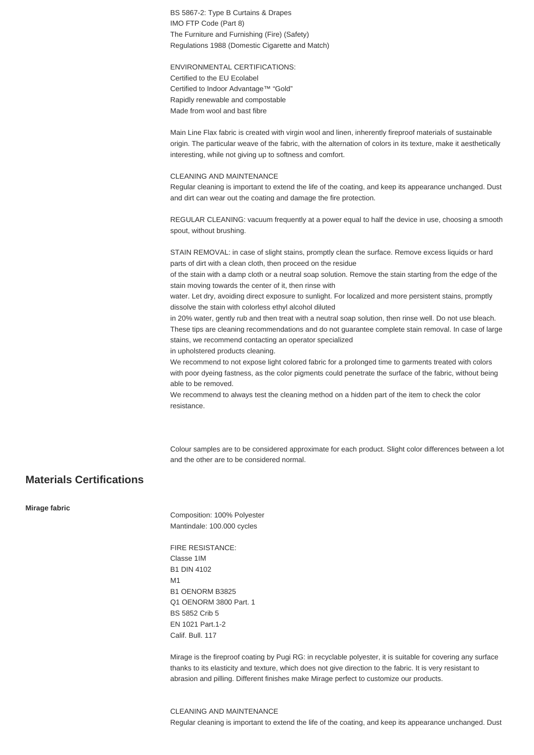BS 5867-2: Type B Curtains & Drapes IMO FTP Code (Part 8) The Furniture and Furnishing (Fire) (Safety) Regulations 1988 (Domestic Cigarette and Match)

ENVIRONMENTAL CERTIFICATIONS: Certified to the EU Ecolabel Certified to Indoor Advantage™ "Gold" Rapidly renewable and compostable Made from wool and bast fibre

Main Line Flax fabric is created with virgin wool and linen, inherently fireproof materials of sustainable origin. The particular weave of the fabric, with the alternation of colors in its texture, make it aesthetically interesting, while not giving up to softness and comfort.

#### CLEANING AND MAINTENANCE

Regular cleaning is important to extend the life of the coating, and keep its appearance unchanged. Dust and dirt can wear out the coating and damage the fire protection.

REGULAR CLEANING: vacuum frequently at a power equal to half the device in use, choosing a smooth spout, without brushing.

STAIN REMOVAL: in case of slight stains, promptly clean the surface. Remove excess liquids or hard parts of dirt with a clean cloth, then proceed on the residue

of the stain with a damp cloth or a neutral soap solution. Remove the stain starting from the edge of the stain moving towards the center of it, then rinse with

water. Let dry, avoiding direct exposure to sunlight. For localized and more persistent stains, promptly dissolve the stain with colorless ethyl alcohol diluted

in 20% water, gently rub and then treat with a neutral soap solution, then rinse well. Do not use bleach. These tips are cleaning recommendations and do not guarantee complete stain removal. In case of large stains, we recommend contacting an operator specialized

in upholstered products cleaning.

We recommend to not expose light colored fabric for a prolonged time to garments treated with colors with poor dyeing fastness, as the color pigments could penetrate the surface of the fabric, without being able to be removed.

We recommend to always test the cleaning method on a hidden part of the item to check the color resistance.

Colour samples are to be considered approximate for each product. Slight color differences between a lot and the other are to be considered normal.

## **Materials Certifications**

**Mirage fabric**

Composition: 100% Polyester Mantindale: 100.000 cycles

FIRE RESISTANCE: Classe 1IM B1 DIN 4102 **M1** B1 OENORM B3825 Q1 OENORM 3800 Part. 1 BS 5852 Crib 5 EN 1021 Part.1-2 Calif. Bull. 117

Mirage is the fireproof coating by Pugi RG: in recyclable polyester, it is suitable for covering any surface thanks to its elasticity and texture, which does not give direction to the fabric. It is very resistant to abrasion and pilling. Different finishes make Mirage perfect to customize our products.

CLEANING AND MAINTENANCE Regular cleaning is important to extend the life of the coating, and keep its appearance unchanged. Dust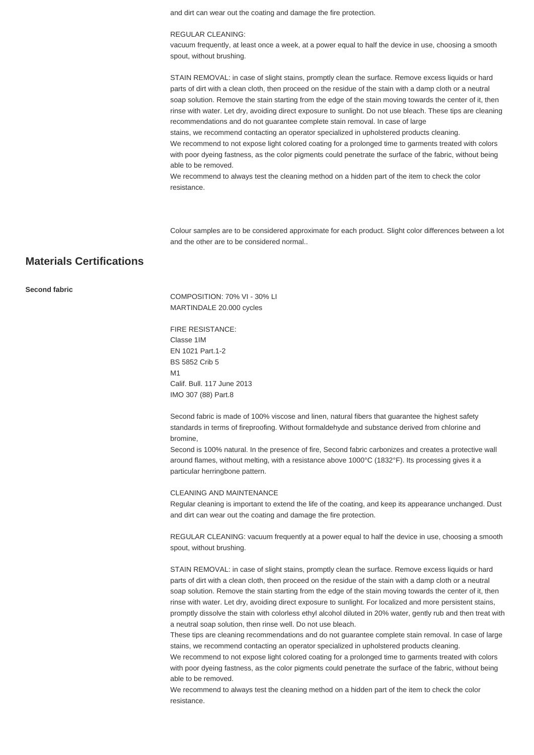and dirt can wear out the coating and damage the fire protection.

#### REGULAR CLEANING:

vacuum frequently, at least once a week, at a power equal to half the device in use, choosing a smooth spout, without brushing.

STAIN REMOVAL: in case of slight stains, promptly clean the surface. Remove excess liquids or hard parts of dirt with a clean cloth, then proceed on the residue of the stain with a damp cloth or a neutral soap solution. Remove the stain starting from the edge of the stain moving towards the center of it, then rinse with water. Let dry, avoiding direct exposure to sunlight. Do not use bleach. These tips are cleaning recommendations and do not guarantee complete stain removal. In case of large

stains, we recommend contacting an operator specialized in upholstered products cleaning. We recommend to not expose light colored coating for a prolonged time to garments treated with colors with poor dyeing fastness, as the color pigments could penetrate the surface of the fabric, without being able to be removed.

We recommend to always test the cleaning method on a hidden part of the item to check the color resistance.

Colour samples are to be considered approximate for each product. Slight color differences between a lot and the other are to be considered normal..

## **Materials Certifications**

#### **Second fabric**

COMPOSITION: 70% VI - 30% LI MARTINDALE 20.000 cycles

FIRE RESISTANCE: Classe 1IM EN 1021 Part.1-2 BS 5852 Crib 5 M1 Calif. Bull. 117 June 2013 IMO 307 (88) Part.8

Second fabric is made of 100% viscose and linen, natural fibers that guarantee the highest safety standards in terms of fireproofing. Without formaldehyde and substance derived from chlorine and bromine,

Second is 100% natural. In the presence of fire, Second fabric carbonizes and creates a protective wall around flames, without melting, with a resistance above 1000°C (1832°F). Its processing gives it a particular herringbone pattern.

#### CLEANING AND MAINTENANCE

Regular cleaning is important to extend the life of the coating, and keep its appearance unchanged. Dust and dirt can wear out the coating and damage the fire protection.

REGULAR CLEANING: vacuum frequently at a power equal to half the device in use, choosing a smooth spout, without brushing.

STAIN REMOVAL: in case of slight stains, promptly clean the surface. Remove excess liquids or hard parts of dirt with a clean cloth, then proceed on the residue of the stain with a damp cloth or a neutral soap solution. Remove the stain starting from the edge of the stain moving towards the center of it, then rinse with water. Let dry, avoiding direct exposure to sunlight. For localized and more persistent stains, promptly dissolve the stain with colorless ethyl alcohol diluted in 20% water, gently rub and then treat with a neutral soap solution, then rinse well. Do not use bleach.

These tips are cleaning recommendations and do not guarantee complete stain removal. In case of large stains, we recommend contacting an operator specialized in upholstered products cleaning.

We recommend to not expose light colored coating for a prolonged time to garments treated with colors with poor dyeing fastness, as the color pigments could penetrate the surface of the fabric, without being able to be removed.

We recommend to always test the cleaning method on a hidden part of the item to check the color resistance.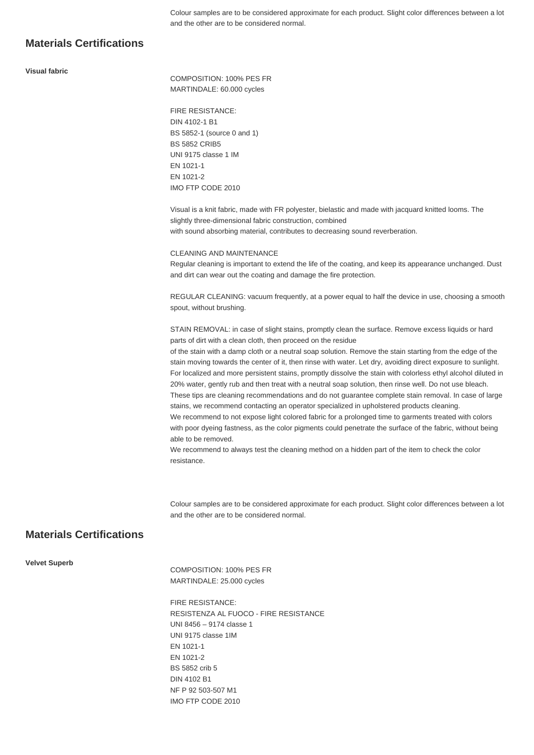Colour samples are to be considered approximate for each product. Slight color differences between a lot and the other are to be considered normal.

## **Materials Certifications**

#### **Visual fabric**

COMPOSITION: 100% PES FR MARTINDALE: 60.000 cycles

FIRE RESISTANCE: DIN 4102-1 B1 BS 5852-1 (source 0 and 1) BS 5852 CRIB5 UNI 9175 classe 1 IM EN 1021-1 EN 1021-2 IMO FTP CODE 2010

Visual is a knit fabric, made with FR polyester, bielastic and made with jacquard knitted looms. The slightly three-dimensional fabric construction, combined with sound absorbing material, contributes to decreasing sound reverberation.

#### CLEANING AND MAINTENANCE

Regular cleaning is important to extend the life of the coating, and keep its appearance unchanged. Dust and dirt can wear out the coating and damage the fire protection.

REGULAR CLEANING: vacuum frequently, at a power equal to half the device in use, choosing a smooth spout, without brushing.

STAIN REMOVAL: in case of slight stains, promptly clean the surface. Remove excess liquids or hard parts of dirt with a clean cloth, then proceed on the residue

of the stain with a damp cloth or a neutral soap solution. Remove the stain starting from the edge of the stain moving towards the center of it, then rinse with water. Let dry, avoiding direct exposure to sunlight. For localized and more persistent stains, promptly dissolve the stain with colorless ethyl alcohol diluted in 20% water, gently rub and then treat with a neutral soap solution, then rinse well. Do not use bleach. These tips are cleaning recommendations and do not guarantee complete stain removal. In case of large stains, we recommend contacting an operator specialized in upholstered products cleaning.

We recommend to not expose light colored fabric for a prolonged time to garments treated with colors with poor dyeing fastness, as the color pigments could penetrate the surface of the fabric, without being able to be removed.

We recommend to always test the cleaning method on a hidden part of the item to check the color resistance.

Colour samples are to be considered approximate for each product. Slight color differences between a lot and the other are to be considered normal.

## **Materials Certifications**

#### **Velvet Superb**

COMPOSITION: 100% PES FR MARTINDALE: 25.000 cycles

FIRE RESISTANCE: RESISTENZA AL FUOCO - FIRE RESISTANCE UNI 8456 – 9174 classe 1 UNI 9175 classe 1IM EN 1021-1 EN 1021-2 BS 5852 crib 5 DIN 4102 B1 NF P 92 503-507 M1 IMO FTP CODE 2010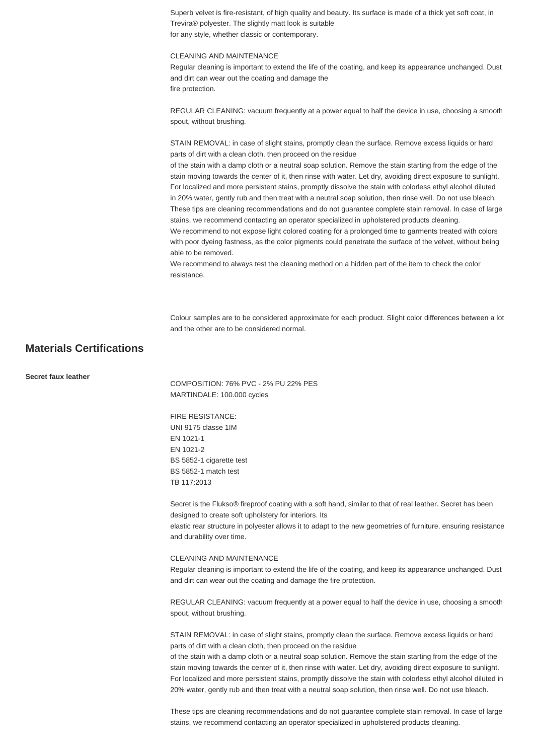Superb velvet is fire-resistant, of high quality and beauty. Its surface is made of a thick yet soft coat, in Trevira® polyester. The slightly matt look is suitable for any style, whether classic or contemporary.

#### CLEANING AND MAINTENANCE

Regular cleaning is important to extend the life of the coating, and keep its appearance unchanged. Dust and dirt can wear out the coating and damage the fire protection.

REGULAR CLEANING: vacuum frequently at a power equal to half the device in use, choosing a smooth spout, without brushing.

STAIN REMOVAL: in case of slight stains, promptly clean the surface. Remove excess liquids or hard parts of dirt with a clean cloth, then proceed on the residue

of the stain with a damp cloth or a neutral soap solution. Remove the stain starting from the edge of the stain moving towards the center of it, then rinse with water. Let dry, avoiding direct exposure to sunlight. For localized and more persistent stains, promptly dissolve the stain with colorless ethyl alcohol diluted in 20% water, gently rub and then treat with a neutral soap solution, then rinse well. Do not use bleach. These tips are cleaning recommendations and do not guarantee complete stain removal. In case of large stains, we recommend contacting an operator specialized in upholstered products cleaning.

We recommend to not expose light colored coating for a prolonged time to garments treated with colors with poor dyeing fastness, as the color pigments could penetrate the surface of the velvet, without being able to be removed.

We recommend to always test the cleaning method on a hidden part of the item to check the color resistance.

Colour samples are to be considered approximate for each product. Slight color differences between a lot and the other are to be considered normal.

## **Materials Certifications**

**Secret faux leather**

COMPOSITION: 76% PVC - 2% PU 22% PES MARTINDALE: 100.000 cycles

FIRE RESISTANCE: UNI 9175 classe 1IM EN 1021-1 EN 1021-2 BS 5852-1 cigarette test BS 5852-1 match test TB 117:2013

Secret is the Flukso® fireproof coating with a soft hand, similar to that of real leather. Secret has been designed to create soft upholstery for interiors. Its

elastic rear structure in polyester allows it to adapt to the new geometries of furniture, ensuring resistance and durability over time.

#### CLEANING AND MAINTENANCE

Regular cleaning is important to extend the life of the coating, and keep its appearance unchanged. Dust and dirt can wear out the coating and damage the fire protection.

REGULAR CLEANING: vacuum frequently at a power equal to half the device in use, choosing a smooth spout, without brushing.

STAIN REMOVAL: in case of slight stains, promptly clean the surface. Remove excess liquids or hard parts of dirt with a clean cloth, then proceed on the residue

of the stain with a damp cloth or a neutral soap solution. Remove the stain starting from the edge of the stain moving towards the center of it, then rinse with water. Let dry, avoiding direct exposure to sunlight. For localized and more persistent stains, promptly dissolve the stain with colorless ethyl alcohol diluted in 20% water, gently rub and then treat with a neutral soap solution, then rinse well. Do not use bleach.

These tips are cleaning recommendations and do not guarantee complete stain removal. In case of large stains, we recommend contacting an operator specialized in upholstered products cleaning.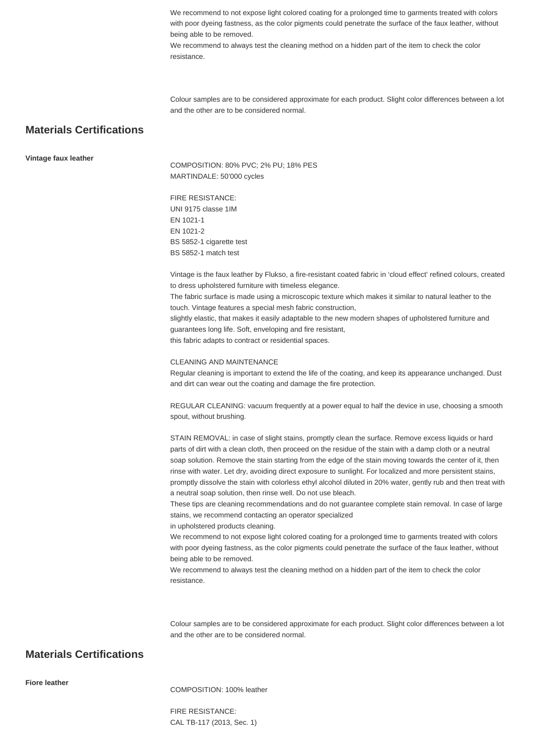We recommend to not expose light colored coating for a prolonged time to garments treated with colors with poor dyeing fastness, as the color pigments could penetrate the surface of the faux leather, without being able to be removed.

We recommend to always test the cleaning method on a hidden part of the item to check the color resistance.

Colour samples are to be considered approximate for each product. Slight color differences between a lot and the other are to be considered normal.

## **Materials Certifications**

**Vintage faux leather**

COMPOSITION: 80% PVC; 2% PU; 18% PES MARTINDALE: 50'000 cycles

FIRE RESISTANCE: UNI 9175 classe 1IM EN 1021-1 EN 1021-2 BS 5852-1 cigarette test BS 5852-1 match test

Vintage is the faux leather by Flukso, a fire-resistant coated fabric in 'cloud effect' refined colours, created to dress upholstered furniture with timeless elegance.

The fabric surface is made using a microscopic texture which makes it similar to natural leather to the touch. Vintage features a special mesh fabric construction,

slightly elastic, that makes it easily adaptable to the new modern shapes of upholstered furniture and guarantees long life. Soft, enveloping and fire resistant,

this fabric adapts to contract or residential spaces.

#### CLEANING AND MAINTENANCE

Regular cleaning is important to extend the life of the coating, and keep its appearance unchanged. Dust and dirt can wear out the coating and damage the fire protection.

REGULAR CLEANING: vacuum frequently at a power equal to half the device in use, choosing a smooth spout, without brushing.

STAIN REMOVAL: in case of slight stains, promptly clean the surface. Remove excess liquids or hard parts of dirt with a clean cloth, then proceed on the residue of the stain with a damp cloth or a neutral soap solution. Remove the stain starting from the edge of the stain moving towards the center of it, then rinse with water. Let dry, avoiding direct exposure to sunlight. For localized and more persistent stains, promptly dissolve the stain with colorless ethyl alcohol diluted in 20% water, gently rub and then treat with a neutral soap solution, then rinse well. Do not use bleach.

These tips are cleaning recommendations and do not guarantee complete stain removal. In case of large stains, we recommend contacting an operator specialized

in upholstered products cleaning.

We recommend to not expose light colored coating for a prolonged time to garments treated with colors with poor dyeing fastness, as the color pigments could penetrate the surface of the faux leather, without being able to be removed.

We recommend to always test the cleaning method on a hidden part of the item to check the color resistance.

Colour samples are to be considered approximate for each product. Slight color differences between a lot and the other are to be considered normal.

## **Materials Certifications**

**Fiore leather**

COMPOSITION: 100% leather

FIRE RESISTANCE: CAL TB-117 (2013, Sec. 1)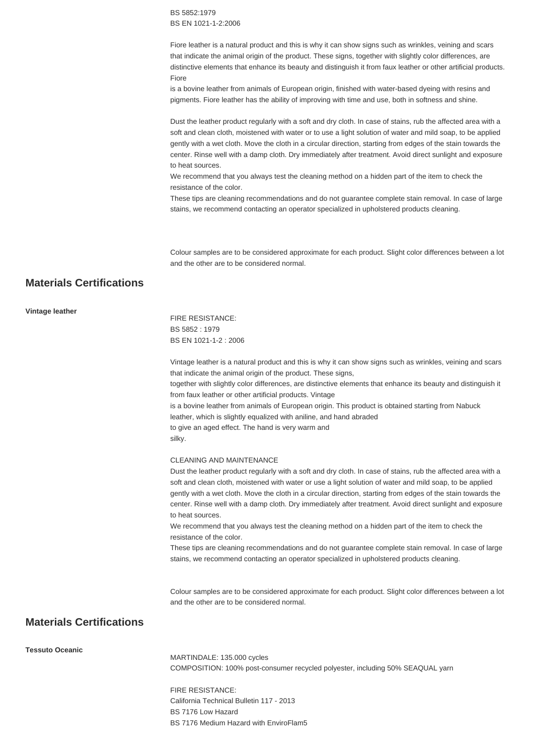BS 5852:1979 BS EN 1021-1-2:2006

Fiore leather is a natural product and this is why it can show signs such as wrinkles, veining and scars that indicate the animal origin of the product. These signs, together with slightly color differences, are distinctive elements that enhance its beauty and distinguish it from faux leather or other artificial products. Fiore

is a bovine leather from animals of European origin, finished with water-based dyeing with resins and pigments. Fiore leather has the ability of improving with time and use, both in softness and shine.

Dust the leather product regularly with a soft and dry cloth. In case of stains, rub the affected area with a soft and clean cloth, moistened with water or to use a light solution of water and mild soap, to be applied gently with a wet cloth. Move the cloth in a circular direction, starting from edges of the stain towards the center. Rinse well with a damp cloth. Dry immediately after treatment. Avoid direct sunlight and exposure to heat sources.

We recommend that you always test the cleaning method on a hidden part of the item to check the resistance of the color.

These tips are cleaning recommendations and do not guarantee complete stain removal. In case of large stains, we recommend contacting an operator specialized in upholstered products cleaning.

Colour samples are to be considered approximate for each product. Slight color differences between a lot and the other are to be considered normal.

## **Materials Certifications**

| Vintage leather |                                                                                                                                                                            |
|-----------------|----------------------------------------------------------------------------------------------------------------------------------------------------------------------------|
|                 | <b>FIRE RESISTANCE:</b>                                                                                                                                                    |
|                 | BS 5852:1979                                                                                                                                                               |
|                 | BS EN 1021-1-2: 2006                                                                                                                                                       |
|                 | Vintage leather is a natural product and this is why it can show signs such as wrinkles, veining and scars<br>that indicate the animal origin of the product. These signs, |
|                 | together with slightly color differences, are distinctive elements that enhance its beauty and distinguish it<br>from faux leather or other artificial products. Vintage   |
|                 | is a bovine leather from animals of European origin. This product is obtained starting from Nabuck                                                                         |
|                 | leather, which is slightly equalized with aniline, and hand abraded                                                                                                        |
|                 | to give an aged effect. The hand is very warm and                                                                                                                          |
|                 | silky.                                                                                                                                                                     |
|                 |                                                                                                                                                                            |

#### CLEANING AND MAINTENANCE

Dust the leather product regularly with a soft and dry cloth. In case of stains, rub the affected area with a soft and clean cloth, moistened with water or use a light solution of water and mild soap, to be applied gently with a wet cloth. Move the cloth in a circular direction, starting from edges of the stain towards the center. Rinse well with a damp cloth. Dry immediately after treatment. Avoid direct sunlight and exposure to heat sources.

We recommend that you always test the cleaning method on a hidden part of the item to check the resistance of the color.

These tips are cleaning recommendations and do not guarantee complete stain removal. In case of large stains, we recommend contacting an operator specialized in upholstered products cleaning.

Colour samples are to be considered approximate for each product. Slight color differences between a lot and the other are to be considered normal.

## **Materials Certifications**

**Tessuto Oceanic**

MARTINDALE: 135.000 cycles COMPOSITION: 100% post-consumer recycled polyester, including 50% SEAQUAL yarn

FIRE RESISTANCE: California Technical Bulletin 117 - 2013 BS 7176 Low Hazard BS 7176 Medium Hazard with EnviroFlam5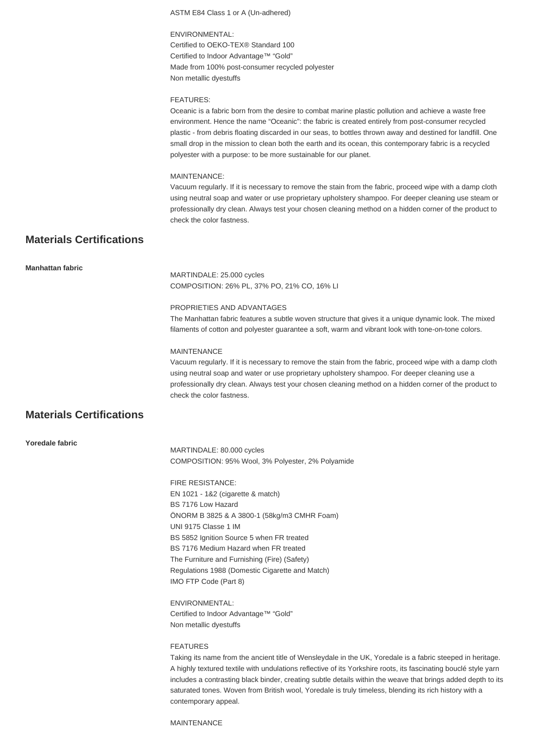ASTM E84 Class 1 or A (Un-adhered) ENVIRONMENTAL: Certified to OEKO-TEX® Standard 100 Certified to Indoor Advantage™ "Gold" Made from 100% post-consumer recycled polyester Non metallic dyestuffs FEATURES: Oceanic is a fabric born from the desire to combat marine plastic pollution and achieve a waste free environment. Hence the name "Oceanic": the fabric is created entirely from post-consumer recycled plastic - from debris floating discarded in our seas, to bottles thrown away and destined for landfill. One small drop in the mission to clean both the earth and its ocean, this contemporary fabric is a recycled polyester with a purpose: to be more sustainable for our planet. MAINTENANCE: Vacuum regularly. If it is necessary to remove the stain from the fabric, proceed wipe with a damp cloth using neutral soap and water or use proprietary upholstery shampoo. For deeper cleaning use steam or professionally dry clean. Always test your chosen cleaning method on a hidden corner of the product to check the color fastness. **Materials Certifications Manhattan fabric** MARTINDALE: 25.000 cycles COMPOSITION: 26% PL, 37% PO, 21% CO, 16% LI PROPRIETIES AND ADVANTAGES The Manhattan fabric features a subtle woven structure that gives it a unique dynamic look. The mixed filaments of cotton and polyester guarantee a soft, warm and vibrant look with tone-on-tone colors. **MAINTENANCE** Vacuum regularly. If it is necessary to remove the stain from the fabric, proceed wipe with a damp cloth using neutral soap and water or use proprietary upholstery shampoo. For deeper cleaning use a professionally dry clean. Always test your chosen cleaning method on a hidden corner of the product to check the color fastness. **Materials Certifications**

**Yoredale fabric**

MARTINDALE: 80.000 cycles COMPOSITION: 95% Wool, 3% Polyester, 2% Polyamide

FIRE RESISTANCE: EN 1021 - 1&2 (cigarette & match) BS 7176 Low Hazard ÖNORM B 3825 & A 3800-1 (58kg/m3 CMHR Foam) UNI 9175 Classe 1 IM BS 5852 Ignition Source 5 when FR treated BS 7176 Medium Hazard when FR treated The Furniture and Furnishing (Fire) (Safety) Regulations 1988 (Domestic Cigarette and Match) IMO FTP Code (Part 8)

ENVIRONMENTAL: Certified to Indoor Advantage™ "Gold" Non metallic dyestuffs

#### FEATURES

Taking its name from the ancient title of Wensleydale in the UK, Yoredale is a fabric steeped in heritage. A highly textured textile with undulations reflective of its Yorkshire roots, its fascinating bouclé style yarn includes a contrasting black binder, creating subtle details within the weave that brings added depth to its saturated tones. Woven from British wool, Yoredale is truly timeless, blending its rich history with a contemporary appeal.

MAINTENANCE